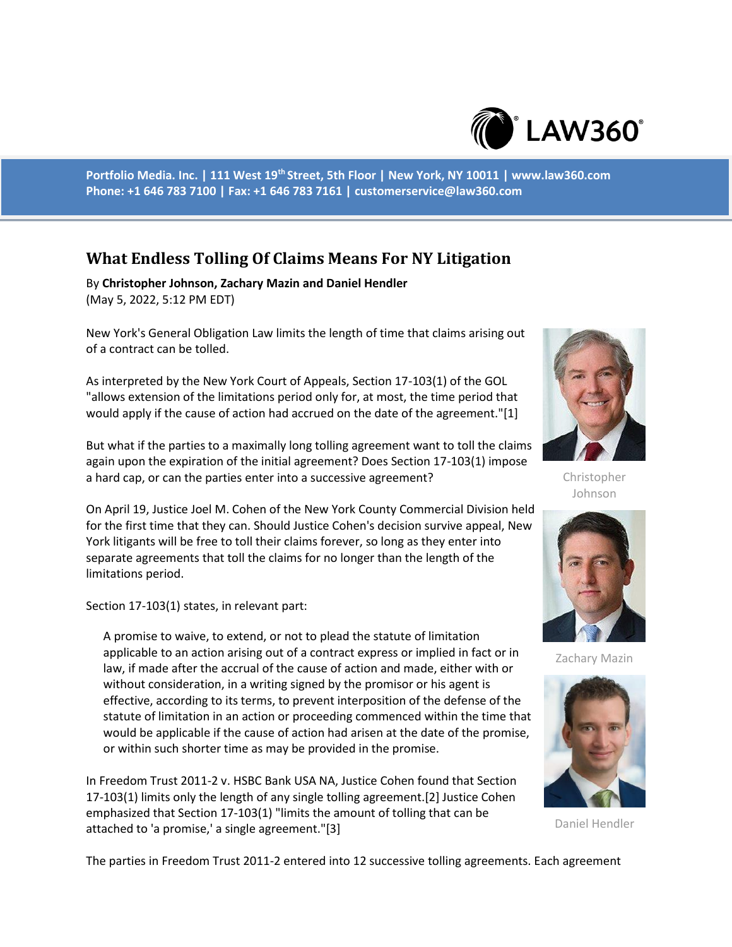

**Portfolio Media. Inc. | 111 West 19th Street, 5th Floor | New York, NY 10011 | www.law360.com Phone: +1 646 783 7100 | Fax: +1 646 783 7161 | customerservice@law360.com**

## **What Endless Tolling Of Claims Means For NY Litigation**

By **Christopher Johnson, Zachary Mazin and Daniel Hendler** (May 5, 2022, 5:12 PM EDT)

New York's General Obligation Law limits the length of time that claims arising out of a contract can be tolled.

As interpreted by the New York Court of Appeals, Section 17-103(1) of the GOL "allows extension of the limitations period only for, at most, the time period that would apply if the cause of action had accrued on the date of the agreement."[1]

But what if the parties to a maximally long tolling agreement want to toll the claims again upon the expiration of the initial agreement? Does Section 17-103(1) impose a hard cap, or can the parties enter into a successive agreement?

On April 19, Justice Joel M. Cohen of the New York County Commercial Division held for the first time that they can. Should Justice Cohen's decision survive appeal, New York litigants will be free to toll their claims forever, so long as they enter into separate agreements that toll the claims for no longer than the length of the limitations period.

Section 17-103(1) states, in relevant part:

A promise to waive, to extend, or not to plead the statute of limitation applicable to an action arising out of a contract express or implied in fact or in law, if made after the accrual of the cause of action and made, either with or without consideration, in a writing signed by the promisor or his agent is effective, according to its terms, to prevent interposition of the defense of the statute of limitation in an action or proceeding commenced within the time that would be applicable if the cause of action had arisen at the date of the promise, or within such shorter time as may be provided in the promise.

In Freedom Trust 2011-2 v. HSBC Bank USA NA, Justice Cohen found that Section 17-103(1) limits only the length of any single tolling agreement.[2] Justice Cohen emphasized that Section 17-103(1) "limits the amount of tolling that can be attached to 'a promise,' a single agreement."[3]



Christopher Johnson



Zachary Mazin



Daniel Hendler

The parties in Freedom Trust 2011-2 entered into 12 successive tolling agreements. Each agreement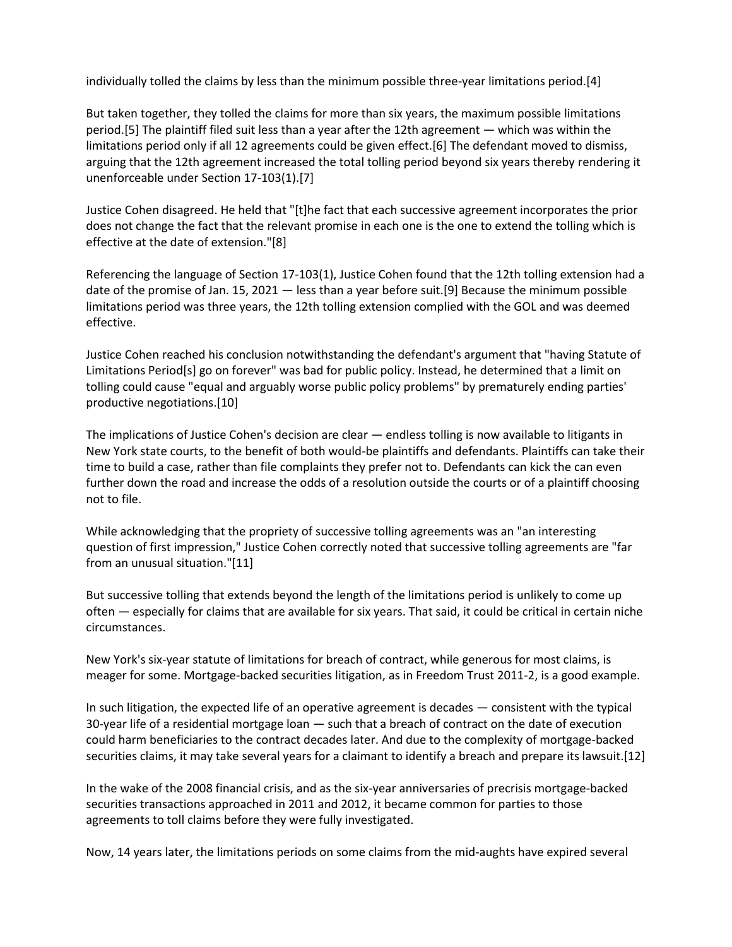individually tolled the claims by less than the minimum possible three-year limitations period.[4]

But taken together, they tolled the claims for more than six years, the maximum possible limitations period.[5] The plaintiff filed suit less than a year after the 12th agreement — which was within the limitations period only if all 12 agreements could be given effect.[6] The defendant moved to dismiss, arguing that the 12th agreement increased the total tolling period beyond six years thereby rendering it unenforceable under Section 17-103(1).[7]

Justice Cohen disagreed. He held that "[t]he fact that each successive agreement incorporates the prior does not change the fact that the relevant promise in each one is the one to extend the tolling which is effective at the date of extension."[8]

Referencing the language of Section 17-103(1), Justice Cohen found that the 12th tolling extension had a date of the promise of Jan. 15, 2021 — less than a year before suit.[9] Because the minimum possible limitations period was three years, the 12th tolling extension complied with the GOL and was deemed effective.

Justice Cohen reached his conclusion notwithstanding the defendant's argument that "having Statute of Limitations Period[s] go on forever" was bad for public policy. Instead, he determined that a limit on tolling could cause "equal and arguably worse public policy problems" by prematurely ending parties' productive negotiations.[10]

The implications of Justice Cohen's decision are clear — endless tolling is now available to litigants in New York state courts, to the benefit of both would-be plaintiffs and defendants. Plaintiffs can take their time to build a case, rather than file complaints they prefer not to. Defendants can kick the can even further down the road and increase the odds of a resolution outside the courts or of a plaintiff choosing not to file.

While acknowledging that the propriety of successive tolling agreements was an "an interesting question of first impression," Justice Cohen correctly noted that successive tolling agreements are "far from an unusual situation."[11]

But successive tolling that extends beyond the length of the limitations period is unlikely to come up often — especially for claims that are available for six years. That said, it could be critical in certain niche circumstances.

New York's six-year statute of limitations for breach of contract, while generous for most claims, is meager for some. Mortgage-backed securities litigation, as in Freedom Trust 2011-2, is a good example.

In such litigation, the expected life of an operative agreement is decades — consistent with the typical 30-year life of a residential mortgage loan — such that a breach of contract on the date of execution could harm beneficiaries to the contract decades later. And due to the complexity of mortgage-backed securities claims, it may take several years for a claimant to identify a breach and prepare its lawsuit.[12]

In the wake of the 2008 financial crisis, and as the six-year anniversaries of precrisis mortgage-backed securities transactions approached in 2011 and 2012, it became common for parties to those agreements to toll claims before they were fully investigated.

Now, 14 years later, the limitations periods on some claims from the mid-aughts have expired several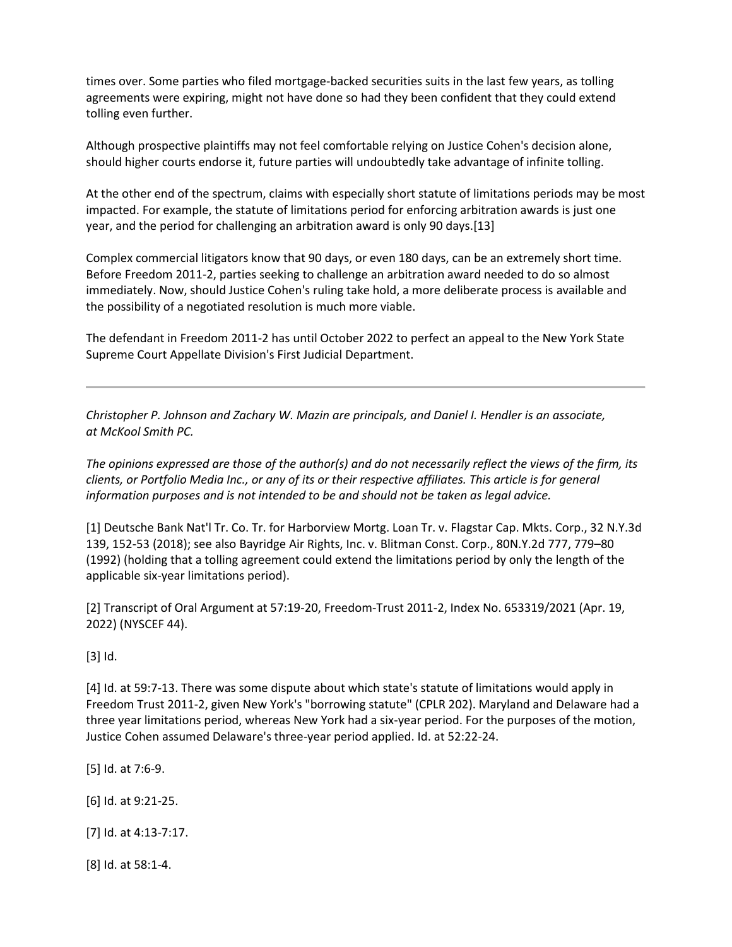times over. Some parties who filed mortgage-backed securities suits in the last few years, as tolling agreements were expiring, might not have done so had they been confident that they could extend tolling even further.

Although prospective plaintiffs may not feel comfortable relying on Justice Cohen's decision alone, should higher courts endorse it, future parties will undoubtedly take advantage of infinite tolling.

At the other end of the spectrum, claims with especially short statute of limitations periods may be most impacted. For example, the statute of limitations period for enforcing arbitration awards is just one year, and the period for challenging an arbitration award is only 90 days.[13]

Complex commercial litigators know that 90 days, or even 180 days, can be an extremely short time. Before Freedom 2011-2, parties seeking to challenge an arbitration award needed to do so almost immediately. Now, should Justice Cohen's ruling take hold, a more deliberate process is available and the possibility of a negotiated resolution is much more viable.

The defendant in Freedom 2011-2 has until October 2022 to perfect an appeal to the New York State Supreme Court Appellate Division's First Judicial Department.

*Christopher P. Johnson and Zachary W. Mazin are principals, and Daniel I. Hendler is an associate, at McKool Smith PC.*

*The opinions expressed are those of the author(s) and do not necessarily reflect the views of the firm, its clients, or Portfolio Media Inc., or any of its or their respective affiliates. This article is for general information purposes and is not intended to be and should not be taken as legal advice.*

[1] Deutsche Bank Nat'l Tr. Co. Tr. for Harborview Mortg. Loan Tr. v. Flagstar Cap. Mkts. Corp., 32 N.Y.3d 139, 152-53 (2018); see also Bayridge Air Rights, Inc. v. Blitman Const. Corp., 80N.Y.2d 777, 779–80 (1992) (holding that a tolling agreement could extend the limitations period by only the length of the applicable six-year limitations period).

[2] Transcript of Oral Argument at 57:19-20, Freedom-Trust 2011-2, Index No. 653319/2021 (Apr. 19, 2022) (NYSCEF 44).

[3] Id.

[4] Id. at 59:7-13. There was some dispute about which state's statute of limitations would apply in Freedom Trust 2011-2, given New York's "borrowing statute" (CPLR 202). Maryland and Delaware had a three year limitations period, whereas New York had a six-year period. For the purposes of the motion, Justice Cohen assumed Delaware's three-year period applied. Id. at 52:22-24.

[5] Id. at 7:6-9.

[6] Id. at 9:21-25.

[7] Id. at 4:13-7:17.

[8] Id. at 58:1-4.